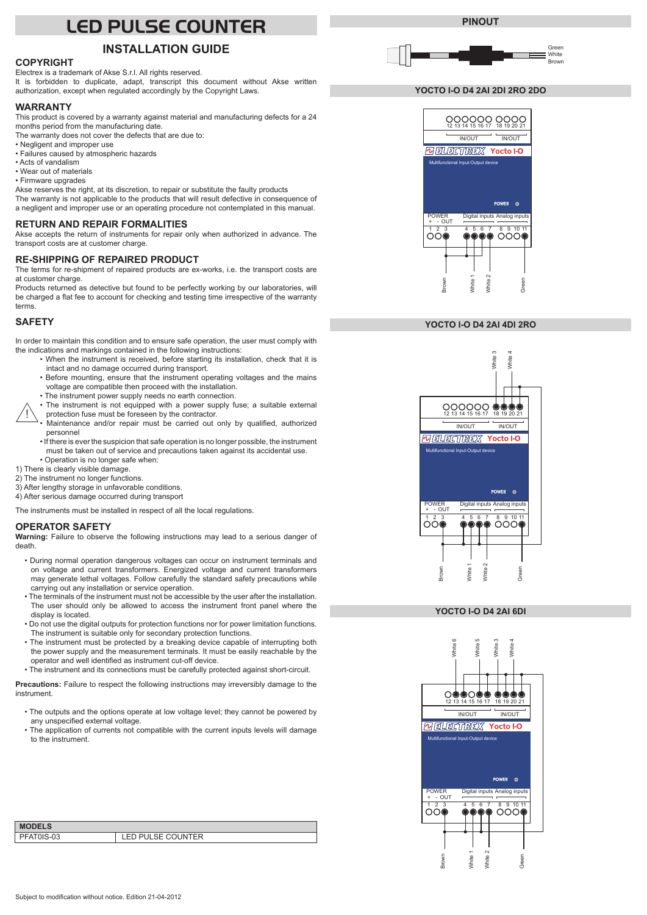# **LED PULSE COUNTER**

# **INSTALLATION GUIDE**

# **COPYRIGHT**

Electrex is a trademark of Akse S.r.l. All rights reserved. It is forbidden to duplicate, adapt, transcript this document without Akse written

authorization, except when regulated accordingly by the Copyright Laws.

#### **WARRANTY**

This product is covered by a warranty against material and manufacturing defects for a 24 months period from the manufacturing date.

- The warranty does not cover the defects that are due to:
- Negligent and improper use
- Failures caused by atmospheric hazards
- Acts of vandalism
- Wear out of materials • Firmware upgrades

Akse reserves the right, at its discretion, to repair or substitute the faulty products

The warranty is not applicable to the products that will result defective in consequence of a negligent and improper use or an operating procedure not contemplated in this manual.

#### **RETURN AND REPAIR FORMALITIES**

Akse accepts the return of instruments for repair only when authorized in advance. The transport costs are at customer charge.

#### **RE-SHIPPING OF REPAIRED PRODUCT**

The terms for re-shipment of repaired products are ex-works, i.e. the transport costs are at customer charge.

Products returned as detective but found to be perfectly working by our laboratories, will be charged a flat fee to account for checking and testing time irrespective of the warranty terms.

#### **SAFETY**

In order to maintain this condition and to ensure safe operation, the user must comply with the indications and markings contained in the following instructions:

- When the instrument is received, before starting its installation, check that it is intact and no damage occurred during transport.
- Before mounting, ensure that the instrument operating voltages and the mains voltage are compatible then proceed with the installation.
- The instrument power supply needs no earth connection.
- ! • The instrument is not equipped with a power supply fuse; a suitable external protection fuse must be foreseen by the contractor.
- Maintenance and/or repair must be carried out only by qualified, authorized personnel
- If there is ever the suspicion that safe operation is no longer possible, the instrument must be taken out of service and precautions taken against its accidental use. • Operation is no longer safe when:
- 1) There is clearly visible damage.
- 2) The instrument no longer functions.
- 3) After lengthy storage in unfavorable conditions.
- 4) After serious damage occurred during transport

The instruments must be installed in respect of all the local regulations.

#### **OPERATOR SAFETY**

**Warning:** Failure to observe the following instructions may lead to a serious danger of death.

- During normal operation dangerous voltages can occur on instrument terminals and on voltage and current transformers. Energized voltage and current transformers may generate lethal voltages. Follow carefully the standard safety precautions while carrying out any installation or service operation.
- The terminals of the instrument must not be accessible by the user after the installation. The user should only be allowed to access the instrument front panel where the display is located.
- Do not use the digital outputs for protection functions nor for power limitation functions. The instrument is suitable only for secondary protection functions.
- The instrument must be protected by a breaking device capable of interrupting both the power supply and the measurement terminals. It must be easily reachable by the operator and well identified as instrument cut-off device.
- The instrument and its connections must be carefully protected against short-circuit.

**Precautions:** Failure to respect the following instructions may irreversibly damage to the instrument.

- The outputs and the options operate at low voltage level; they cannot be powered by any unspecified external voltage.
- The application of currents not compatible with the current inputs levels will damage to the instrument.

| <b>ED PULSE COUNTER</b> |
|-------------------------|
|                         |



#### **YOCTO I-O D4 2AI 2DI 2RO 2DO**



#### **YOCTO I-O D4 2AI 4DI 2RO**



#### **YOCTO I-O D4 2AI 6DI**